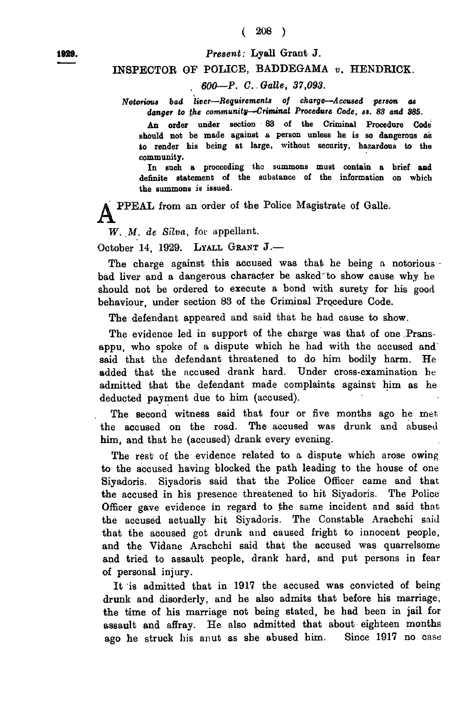1889.

## *P resen t:* **Lyall Grant J.**

## INSPECTOR OF POLICE, BADDEGAMA *v.* HENDRICK.

## *600—P. C. Oalle, 37,093.*

*Notorious bad liver—Requirements of charge—Accused person as danger to the comrnunity—Criminal Procedure Code, ss. 83 and 385.*

An order under section 83 of the Criminal Procedure Code should not be made against a person unless he is so dangerous as to render his being at large, without security, hazardous to the community.

In such a proceeding the summons must contain a brief and definite statement of the substance of the information on which the summons is issued.

PPEAL from an order of the Police Magistrate of Galle.

*W. M. de Silva,* for appellant.

October 14, 1929. LYALL GRANT J.-

The charge against this accused was that he being a notorious-bad liver and a dangerous character be asked'to show cause why he should not be ordered to execute a bond with surety for his good behaviour, under section 83 of the Criminal Procedure Code.

The defendant appeared and said that he had cause to show.

The evidence led in support of the charge was that of one Pransappu, who spoke of a dispute which he had with the accused and' said that the defendant threatened to do him bodily harm. He added that the accused drank hard. Under cross-examination be admitted that the defendant made complaints against him as he deducted payment due to him (accused).

The second witness said that four or five months ago he met the accused on the road. The accused was drunk and abused him, and that he (accused) drank every evening.

The rest of the evidence related to a dispute which arose owing to the accused having blocked the path leading to the house of one Siyadoris. Siyadoris said that the Police Officer came and that the accused in his presence threatened to hit Siyadoris. The Police Officer gave evidence in regard to the same incident and said that the accused actually hit Siyadoris. The Constable Arachchi said that the accused got drunk and caused fright to innocent people, and the Vidane Arachchi said that the accused was quarrelsome and tried to assault people, drank hard, and put persons in fear of personal injury.

It is admitted that in 1917 the accused was convicted of being drunk and disorderly, and he also admits that before his marriage, the time of his marriage not being stated, he had been in jail for assault and affray. He also admitted that about eighteen months ago he struck his anut as she abused him. Since 1917 no case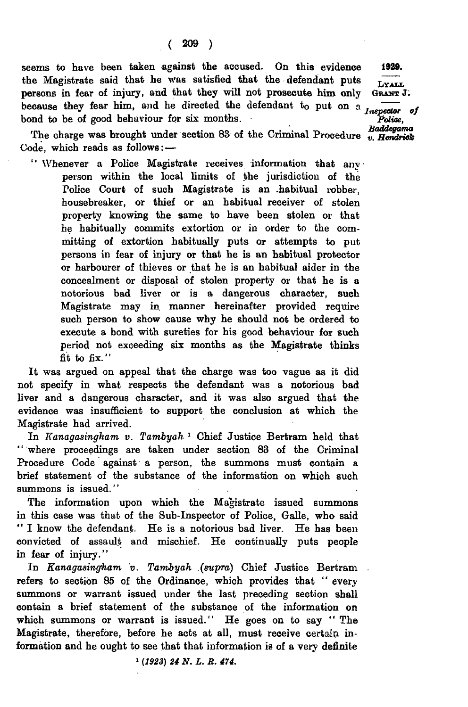seems to have been taken against the accused. On this evidence the Magistrate said that he was satisfied that the defendant puts persons in fear of injury, and that they will not prosecute him only because they fear him, and he directed the defendant to put on a *Inspector of* bond to be of good behaviour for six months.

The charge was brought under section  $83$  of the Criminal Procedure  $\ddot{v}$ . *Hendrick* Code, which reads as follows:—

" Whenever a Police Magistrate receives information that any person within the local limits of the jurisdiction of the Police Court of such Magistrate is an .habitual robber, housebreaker, or thief or an habitual receiver of stolen property knowing the same to have been stolen or that he habitually commits extortion or in order to the committing of extortion habitually puts or attempts to put persons in fear of injury or that he is an habitual protector or harbourer of thieves or that he is an habitual aider in the concealment or disposal of stolen property or that he is a notorious bad liver or is a dangerous character, such Magistrate may in manner hereinafter provided require such person to show cause why he should not be ordered to execute a bond with sureties for his good behaviour for such period not exceeding six months as the Magistrate thinks fit to fix."

It was argued on appeal that the charge was too vague as it did not specify in what respects the defendant was a notorious bad liver and a dangerous character, and it was also argued that the evidence was insufficient to support the conclusion at which the Magistrate had arrived.

In *Kanagasingham v. Tambyah* <sup>1</sup> Chief Justice Bertram held that ' ' where proceedings are taken under section 83 of the Criminal Procedure Code against a person, the summons must contain a brief statement of the substance of the information on which such summons is issued."

The information upon which the Magistrate issued summons in this case was that of the Sub-Inspector of Police, Galle, who said " I know the defendant. He is a notorious bad liver. He has been convicted of assault and mischief. He continually puts people in fear of injury."

In *Kanagasingham v. Tambyah .(supra)* Chief Justice Bertram refers to section 85 of the Ordinance, which provides that " every summons or warrant issued under the last preceding section shall contain a brief statement of the substance of the information on which summons or warrant is issued." He goes on to say " The Magistrate, therefore, before he acts at all, must receive certain information and he ought to see that that information is of a very definite

1929.

*liY A L L* Or&nt J.

*Police, Baddegama*